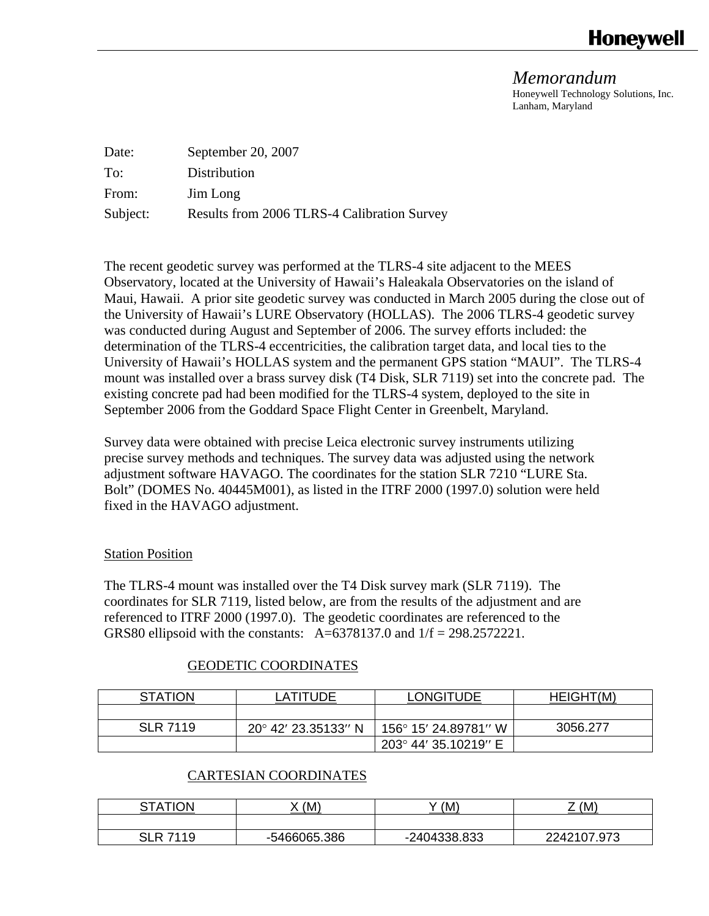# **Honevwell**

*Memorandum*  Honeywell Technology Solutions, Inc. Lanham, Maryland

| Date:    | September 20, 2007                          |
|----------|---------------------------------------------|
| To:      | Distribution                                |
| From:    | Jim Long                                    |
| Subject: | Results from 2006 TLRS-4 Calibration Survey |

The recent geodetic survey was performed at the TLRS-4 site adjacent to the MEES Observatory, located at the University of Hawaii's Haleakala Observatories on the island of Maui, Hawaii. A prior site geodetic survey was conducted in March 2005 during the close out of the University of Hawaii's LURE Observatory (HOLLAS). The 2006 TLRS-4 geodetic survey was conducted during August and September of 2006. The survey efforts included: the determination of the TLRS-4 eccentricities, the calibration target data, and local ties to the University of Hawaii's HOLLAS system and the permanent GPS station "MAUI". The TLRS-4 mount was installed over a brass survey disk (T4 Disk, SLR 7119) set into the concrete pad. The existing concrete pad had been modified for the TLRS-4 system, deployed to the site in September 2006 from the Goddard Space Flight Center in Greenbelt, Maryland.

Survey data were obtained with precise Leica electronic survey instruments utilizing precise survey methods and techniques. The survey data was adjusted using the network adjustment software HAVAGO. The coordinates for the station SLR 7210 "LURE Sta. Bolt" (DOMES No. 40445M001), as listed in the ITRF 2000 (1997.0) solution were held fixed in the HAVAGO adjustment.

### Station Position

The TLRS-4 mount was installed over the T4 Disk survey mark (SLR 7119). The coordinates for SLR 7119, listed below, are from the results of the adjustment and are referenced to ITRF 2000 (1997.0). The geodetic coordinates are referenced to the GRS80 ellipsoid with the constants:  $A=6378137.0$  and  $1/f = 298.2572221$ .

### GEODETIC COORDINATES

| <b>STATION</b>  | LATITUDE            | <b>LONGITUDE</b>     | HEIGHT(M) |
|-----------------|---------------------|----------------------|-----------|
|                 |                     |                      |           |
| <b>SLR 7119</b> | 20° 42′ 23.35133″ N | 156° 15' 24.89781″ W | 3056.277  |
|                 |                     | 203° 44' 35.10219" E |           |

### CARTESIAN COORDINATES

| TION<br>Δ<br>~- | (M)          | (M)          | (M)<br>–    |
|-----------------|--------------|--------------|-------------|
|                 |              |              |             |
| SLR.<br>7119    | -5466065.386 | -2404338.833 | 2242107.973 |